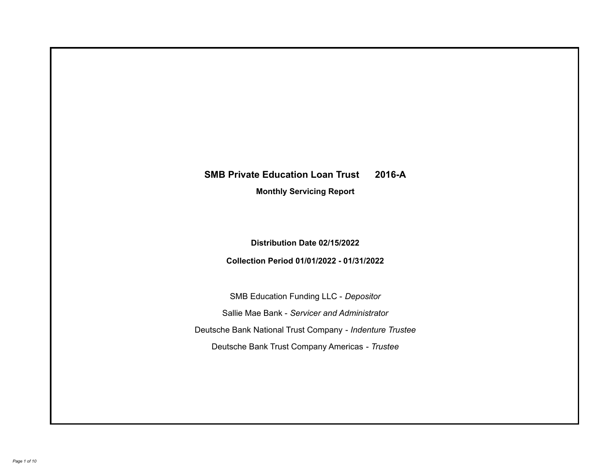# **SMB Private Education Loan Trust 2016-A**

**Monthly Servicing Report**

**Distribution Date 02/15/2022**

**Collection Period 01/01/2022 - 01/31/2022**

SMB Education Funding LLC - *Depositor* Sallie Mae Bank - *Servicer and Administrator* Deutsche Bank National Trust Company - *Indenture Trustee* Deutsche Bank Trust Company Americas - *Trustee*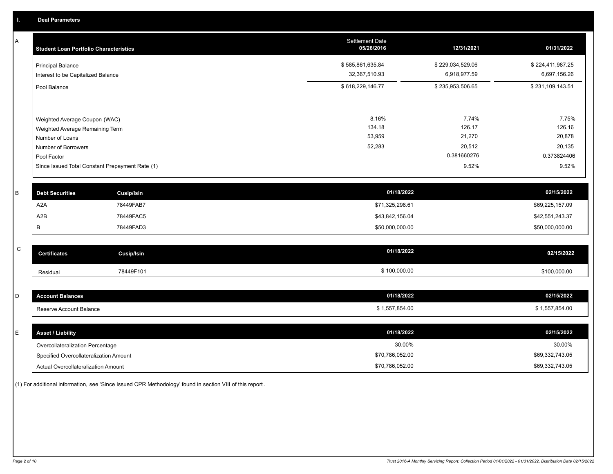A

| Α           | <b>Student Loan Portfolio Characteristics</b>   |                   | <b>Settlement Date</b><br>05/26/2016 | 12/31/2021       | 01/31/2022       |
|-------------|-------------------------------------------------|-------------------|--------------------------------------|------------------|------------------|
|             | <b>Principal Balance</b>                        |                   | \$585,861,635.84                     | \$229,034,529.06 | \$224,411,987.25 |
|             | Interest to be Capitalized Balance              |                   | 32,367,510.93                        | 6,918,977.59     | 6,697,156.26     |
|             | Pool Balance                                    |                   | \$618,229,146.77                     | \$235,953,506.65 | \$231,109,143.51 |
|             |                                                 |                   |                                      |                  |                  |
|             | Weighted Average Coupon (WAC)                   |                   | 8.16%                                | 7.74%            | 7.75%            |
|             | Weighted Average Remaining Term                 |                   | 134.18                               | 126.17           | 126.16           |
|             | Number of Loans                                 |                   | 53,959                               | 21,270           | 20,878           |
|             | Number of Borrowers                             |                   | 52,283                               | 20,512           | 20,135           |
|             | Pool Factor                                     |                   |                                      | 0.381660276      | 0.373824406      |
|             | Since Issued Total Constant Prepayment Rate (1) |                   |                                      | 9.52%            | 9.52%            |
| B           | <b>Debt Securities</b>                          |                   | 01/18/2022                           |                  | 02/15/2022       |
|             |                                                 | <b>Cusip/Isin</b> |                                      |                  |                  |
|             | A <sub>2</sub> A                                | 78449FAB7         | \$71,325,298.61                      |                  | \$69,225,157.09  |
|             | A2B                                             | 78449FAC5         | \$43,842,156.04                      |                  | \$42,551,243.37  |
|             | B                                               | 78449FAD3         | \$50,000,000.00                      |                  | \$50,000,000.00  |
| $\mathsf C$ |                                                 |                   |                                      |                  |                  |
|             | <b>Certificates</b>                             | <b>Cusip/Isin</b> | 01/18/2022                           |                  | 02/15/2022       |
|             | Residual                                        | 78449F101         | \$100,000.00                         |                  | \$100,000.00     |
|             |                                                 |                   |                                      |                  |                  |
| D           | <b>Account Balances</b>                         |                   | 01/18/2022                           |                  | 02/15/2022       |
|             | Reserve Account Balance                         |                   | \$1,557,854.00                       |                  | \$1,557,854.00   |

| <b>Asset / Liability</b>               | 01/18/2022      | 02/15/2022      |
|----------------------------------------|-----------------|-----------------|
| Overcollateralization Percentage       | 30.00%          | 30.00%          |
| Specified Overcollateralization Amount | \$70,786,052.00 | \$69,332,743.05 |
| Actual Overcollateralization Amount    | \$70,786,052.00 | \$69,332,743.05 |

(1) For additional information, see 'Since Issued CPR Methodology' found in section VIII of this report .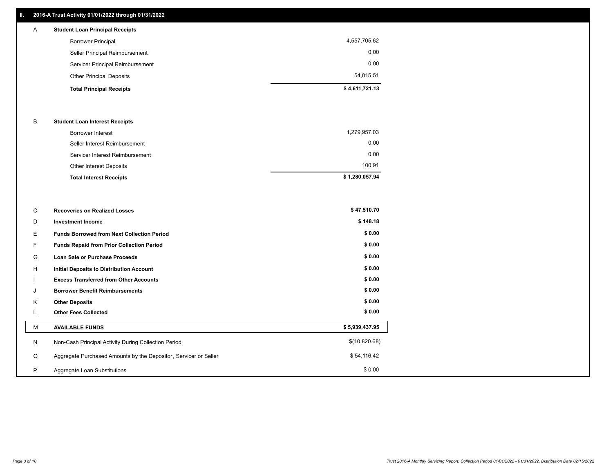### **II. 2016-A Trust Activity 01/01/2022 through 01/31/2022**

# **Total Principal Receipts \$ 4,611,721.13**  Other Principal Deposits 54,015.51 Servicer Principal Reimbursement 0.00 Seller Principal Reimbursement 0.00 Borrower Principal 4,557,705.62 A **Student Loan Principal Receipts**

#### B **Student Loan Interest Receipts**

| <b>Total Interest Receipts</b>  | \$1,280,057.94 |
|---------------------------------|----------------|
| Other Interest Deposits         | 100.91         |
| Servicer Interest Reimbursement | 0.00           |
| Seller Interest Reimbursement   | 0.00           |
| Borrower Interest               | 1,279,957.03   |

| C       | <b>Recoveries on Realized Losses</b>                             | \$47,510.70    |
|---------|------------------------------------------------------------------|----------------|
| D       | <b>Investment Income</b>                                         | \$148.18       |
| Е       | <b>Funds Borrowed from Next Collection Period</b>                | \$0.00         |
| F.      | Funds Repaid from Prior Collection Period                        | \$0.00         |
| G       | Loan Sale or Purchase Proceeds                                   | \$0.00         |
| Н       | Initial Deposits to Distribution Account                         | \$0.00         |
|         | <b>Excess Transferred from Other Accounts</b>                    | \$0.00         |
| J       | <b>Borrower Benefit Reimbursements</b>                           | \$0.00         |
| K       | <b>Other Deposits</b>                                            | \$0.00         |
|         | <b>Other Fees Collected</b>                                      | \$0.00         |
| M       | <b>AVAILABLE FUNDS</b>                                           | \$5,939,437.95 |
| N       | Non-Cash Principal Activity During Collection Period             | \$(10,820.68)  |
| $\circ$ | Aggregate Purchased Amounts by the Depositor, Servicer or Seller | \$54,116.42    |
| P       | Aggregate Loan Substitutions                                     | \$0.00         |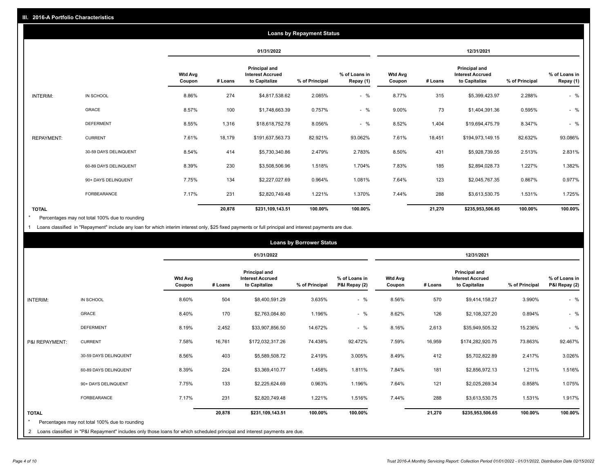|                   | <b>Loans by Repayment Status</b> |                   |            |                                                           |                |                            |                          |         |                                                           |                |                            |
|-------------------|----------------------------------|-------------------|------------|-----------------------------------------------------------|----------------|----------------------------|--------------------------|---------|-----------------------------------------------------------|----------------|----------------------------|
|                   |                                  |                   | 01/31/2022 |                                                           |                | 12/31/2021                 |                          |         |                                                           |                |                            |
|                   |                                  | Wtd Avg<br>Coupon | # Loans    | Principal and<br><b>Interest Accrued</b><br>to Capitalize | % of Principal | % of Loans in<br>Repay (1) | <b>Wtd Avg</b><br>Coupon | # Loans | Principal and<br><b>Interest Accrued</b><br>to Capitalize | % of Principal | % of Loans in<br>Repay (1) |
| INTERIM:          | IN SCHOOL                        | 8.86%             | 274        | \$4,817,538.62                                            | 2.085%         | $-$ %                      | 8.77%                    | 315     | \$5,399,423.97                                            | 2.288%         | $-$ %                      |
|                   | <b>GRACE</b>                     | 8.57%             | 100        | \$1,748,663.39                                            | 0.757%         | $-$ %                      | 9.00%                    | 73      | \$1,404,391.36                                            | 0.595%         | $-$ %                      |
|                   | <b>DEFERMENT</b>                 | 8.55%             | 1,316      | \$18,618,752.78                                           | 8.056%         | $-$ %                      | 8.52%                    | 1,404   | \$19,694,475.79                                           | 8.347%         | $-$ %                      |
| <b>REPAYMENT:</b> | <b>CURRENT</b>                   | 7.61%             | 18,179     | \$191,637,563.73                                          | 82.921%        | 93.062%                    | 7.61%                    | 18,451  | \$194,973,149.15                                          | 82.632%        | 93.086%                    |
|                   | 30-59 DAYS DELINQUENT            | 8.54%             | 414        | \$5,730,340.86                                            | 2.479%         | 2.783%                     | 8.50%                    | 431     | \$5,928,739.55                                            | 2.513%         | 2.831%                     |
|                   | 60-89 DAYS DELINQUENT            | 8.39%             | 230        | \$3,508,506.96                                            | 1.518%         | 1.704%                     | 7.83%                    | 185     | \$2,894,028.73                                            | 1.227%         | 1.382%                     |
|                   | 90+ DAYS DELINQUENT              | 7.75%             | 134        | \$2,227,027.69                                            | 0.964%         | 1.081%                     | 7.64%                    | 123     | \$2,045,767.35                                            | 0.867%         | 0.977%                     |
|                   | <b>FORBEARANCE</b>               | 7.17%             | 231        | \$2,820,749.48                                            | 1.221%         | 1.370%                     | 7.44%                    | 288     | \$3,613,530.75                                            | 1.531%         | 1.725%                     |
| <b>TOTAL</b>      |                                  |                   | 20,878     | \$231,109,143.51                                          | 100.00%        | 100.00%                    |                          | 21,270  | \$235,953,506.65                                          | 100.00%        | 100.00%                    |

Percentages may not total 100% due to rounding \*

1 Loans classified in "Repayment" include any loan for which interim interest only, \$25 fixed payments or full principal and interest payments are due.

| <b>Loans by Borrower Status</b> |                                                                                                                              |                          |            |                                                                  |                |                                |                          |         |                                                                  |                |                                |
|---------------------------------|------------------------------------------------------------------------------------------------------------------------------|--------------------------|------------|------------------------------------------------------------------|----------------|--------------------------------|--------------------------|---------|------------------------------------------------------------------|----------------|--------------------------------|
|                                 |                                                                                                                              |                          | 01/31/2022 |                                                                  |                | 12/31/2021                     |                          |         |                                                                  |                |                                |
|                                 |                                                                                                                              | <b>Wtd Avg</b><br>Coupon | # Loans    | <b>Principal and</b><br><b>Interest Accrued</b><br>to Capitalize | % of Principal | % of Loans in<br>P&I Repay (2) | <b>Wtd Avg</b><br>Coupon | # Loans | <b>Principal and</b><br><b>Interest Accrued</b><br>to Capitalize | % of Principal | % of Loans in<br>P&I Repay (2) |
| <b>INTERIM:</b>                 | IN SCHOOL                                                                                                                    | 8.60%                    | 504        | \$8,400,591.29                                                   | 3.635%         | $-$ %                          | 8.56%                    | 570     | \$9,414,158.27                                                   | 3.990%         | $-$ %                          |
|                                 | <b>GRACE</b>                                                                                                                 | 8.40%                    | 170        | \$2,763,084.80                                                   | 1.196%         | $-$ %                          | 8.62%                    | 126     | \$2,108,327.20                                                   | 0.894%         | $-$ %                          |
|                                 | <b>DEFERMENT</b>                                                                                                             | 8.19%                    | 2,452      | \$33,907,856.50                                                  | 14.672%        | $-$ %                          | 8.16%                    | 2,613   | \$35,949,505.32                                                  | 15.236%        | $-$ %                          |
| P&I REPAYMENT:                  | <b>CURRENT</b>                                                                                                               | 7.58%                    | 16,761     | \$172,032,317.26                                                 | 74.438%        | 92.472%                        | 7.59%                    | 16,959  | \$174,282,920.75                                                 | 73.863%        | 92.467%                        |
|                                 | 30-59 DAYS DELINQUENT                                                                                                        | 8.56%                    | 403        | \$5,589,508.72                                                   | 2.419%         | 3.005%                         | 8.49%                    | 412     | \$5,702,822.89                                                   | 2.417%         | 3.026%                         |
|                                 | 60-89 DAYS DELINQUENT                                                                                                        | 8.39%                    | 224        | \$3,369,410.77                                                   | 1.458%         | 1.811%                         | 7.84%                    | 181     | \$2,856,972.13                                                   | 1.211%         | 1.516%                         |
|                                 | 90+ DAYS DELINQUENT                                                                                                          | 7.75%                    | 133        | \$2,225,624.69                                                   | 0.963%         | 1.196%                         | 7.64%                    | 121     | \$2,025,269.34                                                   | 0.858%         | 1.075%                         |
|                                 | <b>FORBEARANCE</b>                                                                                                           | 7.17%                    | 231        | \$2,820,749.48                                                   | 1.221%         | 1.516%                         | 7.44%                    | 288     | \$3,613,530.75                                                   | 1.531%         | 1.917%                         |
| <b>TOTAL</b>                    | Percentages may not total 100% due to rounding                                                                               |                          | 20,878     | \$231,109,143.51                                                 | 100.00%        | 100.00%                        |                          | 21,270  | \$235,953,506.65                                                 | 100.00%        | 100.00%                        |
|                                 | 2 Loans classified in "P&I Repayment" includes only those loans for which scheduled principal and interest payments are due. |                          |            |                                                                  |                |                                |                          |         |                                                                  |                |                                |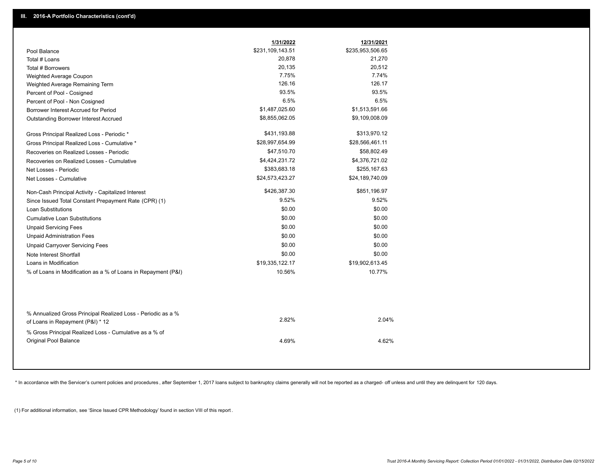|                                                                                        | 1/31/2022        | 12/31/2021       |  |
|----------------------------------------------------------------------------------------|------------------|------------------|--|
| Pool Balance                                                                           | \$231,109,143.51 | \$235,953,506.65 |  |
| Total # Loans                                                                          | 20,878           | 21,270           |  |
| Total # Borrowers                                                                      | 20,135           | 20,512           |  |
| Weighted Average Coupon                                                                | 7.75%            | 7.74%            |  |
| Weighted Average Remaining Term                                                        | 126.16           | 126.17           |  |
| Percent of Pool - Cosigned                                                             | 93.5%            | 93.5%            |  |
| Percent of Pool - Non Cosigned                                                         | 6.5%             | 6.5%             |  |
| Borrower Interest Accrued for Period                                                   | \$1,487,025.60   | \$1,513,591.66   |  |
| Outstanding Borrower Interest Accrued                                                  | \$8,855,062.05   | \$9,109,008.09   |  |
| Gross Principal Realized Loss - Periodic *                                             | \$431,193.88     | \$313,970.12     |  |
| Gross Principal Realized Loss - Cumulative *                                           | \$28,997,654.99  | \$28,566,461.11  |  |
| Recoveries on Realized Losses - Periodic                                               | \$47,510.70      | \$58,802.49      |  |
| Recoveries on Realized Losses - Cumulative                                             | \$4,424,231.72   | \$4,376,721.02   |  |
| Net Losses - Periodic                                                                  | \$383,683.18     | \$255,167.63     |  |
| Net Losses - Cumulative                                                                | \$24,573,423.27  | \$24,189,740.09  |  |
| Non-Cash Principal Activity - Capitalized Interest                                     | \$426,387.30     | \$851,196.97     |  |
| Since Issued Total Constant Prepayment Rate (CPR) (1)                                  | 9.52%            | 9.52%            |  |
| <b>Loan Substitutions</b>                                                              | \$0.00           | \$0.00           |  |
| <b>Cumulative Loan Substitutions</b>                                                   | \$0.00           | \$0.00           |  |
| <b>Unpaid Servicing Fees</b>                                                           | \$0.00           | \$0.00           |  |
| <b>Unpaid Administration Fees</b>                                                      | \$0.00           | \$0.00           |  |
| <b>Unpaid Carryover Servicing Fees</b>                                                 | \$0.00           | \$0.00           |  |
| Note Interest Shortfall                                                                | \$0.00           | \$0.00           |  |
| Loans in Modification                                                                  | \$19,335,122.17  | \$19,902,613.45  |  |
| % of Loans in Modification as a % of Loans in Repayment (P&I)                          | 10.56%           | 10.77%           |  |
| % Annualized Gross Principal Realized Loss - Periodic as a %                           |                  |                  |  |
| of Loans in Repayment (P&I) * 12                                                       | 2.82%            | 2.04%            |  |
| % Gross Principal Realized Loss - Cumulative as a % of<br><b>Original Pool Balance</b> | 4.69%            | 4.62%            |  |

\* In accordance with the Servicer's current policies and procedures, after September 1, 2017 loans subject to bankruptcy claims generally will not be reported as a charged- off unless and until they are delinquent for 120

(1) For additional information, see 'Since Issued CPR Methodology' found in section VIII of this report .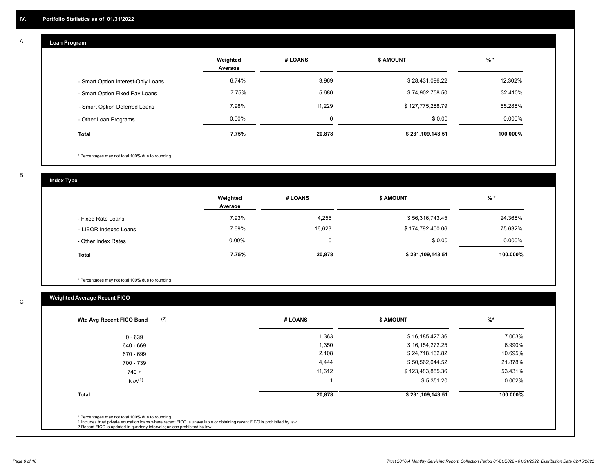## **Loan Program**

A

|                                    | Weighted<br>Average | # LOANS | <b>\$ AMOUNT</b> | $%$ *    |
|------------------------------------|---------------------|---------|------------------|----------|
| - Smart Option Interest-Only Loans | 6.74%               | 3,969   | \$28,431,096.22  | 12.302%  |
| - Smart Option Fixed Pay Loans     | 7.75%               | 5,680   | \$74,902,758.50  | 32.410%  |
| - Smart Option Deferred Loans      | 7.98%               | 11.229  | \$127,775,288.79 | 55.288%  |
| - Other Loan Programs              | $0.00\%$            | $\sim$  | \$0.00           | 0.000%   |
| <b>Total</b>                       | 7.75%               | 20,878  | \$231,109,143.51 | 100.000% |

\* Percentages may not total 100% due to rounding

B

C

**Index Type**

|                       | Weighted<br>Average | # LOANS | <b>\$ AMOUNT</b> | $%$ *    |
|-----------------------|---------------------|---------|------------------|----------|
| - Fixed Rate Loans    | 7.93%               | 4,255   | \$56,316,743.45  | 24.368%  |
| - LIBOR Indexed Loans | 7.69%               | 16,623  | \$174,792,400.06 | 75.632%  |
| - Other Index Rates   | $0.00\%$            |         | \$0.00           | 0.000%   |
| <b>Total</b>          | 7.75%               | 20,878  | \$231,109,143.51 | 100.000% |

\* Percentages may not total 100% due to rounding

# **Weighted Average Recent FICO**

| 0 - 639      |        |                  |          |
|--------------|--------|------------------|----------|
|              | 1,363  | \$16,185,427.36  | 7.003%   |
| 640 - 669    | 1,350  | \$16,154,272.25  | 6.990%   |
| 670 - 699    | 2,108  | \$24,718,162.82  | 10.695%  |
| 700 - 739    | 4,444  | \$50,562,044.52  | 21.878%  |
| $740 +$      | 11,612 | \$123,483,885.36 | 53.431%  |
| $N/A^{(1)}$  |        | \$5,351.20       | 0.002%   |
| <b>Total</b> | 20,878 | \$231,109,143.51 | 100.000% |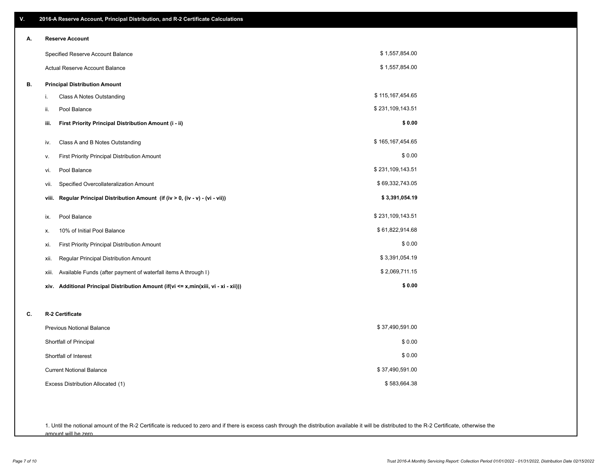| V. | 2016-A Reserve Account, Principal Distribution, and R-2 Certificate Calculations        |                  |
|----|-----------------------------------------------------------------------------------------|------------------|
| А. | <b>Reserve Account</b>                                                                  |                  |
|    | Specified Reserve Account Balance                                                       | \$1,557,854.00   |
|    | Actual Reserve Account Balance                                                          | \$1,557,854.00   |
| В. | <b>Principal Distribution Amount</b>                                                    |                  |
|    | i.<br>Class A Notes Outstanding                                                         | \$115,167,454.65 |
|    | Pool Balance<br>ii.                                                                     | \$231,109,143.51 |
|    | iii.<br>First Priority Principal Distribution Amount (i - ii)                           | \$0.00           |
|    | Class A and B Notes Outstanding<br>iv.                                                  | \$165,167,454.65 |
|    | First Priority Principal Distribution Amount<br>ν.                                      | \$0.00           |
|    | Pool Balance<br>vi.                                                                     | \$231,109,143.51 |
|    | Specified Overcollateralization Amount<br>vii.                                          | \$69,332,743.05  |
|    | Regular Principal Distribution Amount (if (iv > 0, (iv - v) - (vi - vii))<br>viii.      | \$3,391,054.19   |
|    | Pool Balance<br>ix.                                                                     | \$231,109,143.51 |
|    | 10% of Initial Pool Balance<br>х.                                                       | \$61,822,914.68  |
|    | First Priority Principal Distribution Amount<br>xi.                                     | \$0.00           |
|    | Regular Principal Distribution Amount<br>xii.                                           | \$3,391,054.19   |
|    | Available Funds (after payment of waterfall items A through I)<br>xiii.                 | \$2,069,711.15   |
|    | Additional Principal Distribution Amount (if(vi <= x,min(xiii, vi - xi - xii)))<br>xiv. | \$0.00           |
| C. | R-2 Certificate                                                                         |                  |
|    | <b>Previous Notional Balance</b>                                                        | \$37,490,591.00  |
|    | Shortfall of Principal                                                                  | \$0.00           |
|    | Shortfall of Interest                                                                   | \$0.00           |
|    | <b>Current Notional Balance</b>                                                         | \$37,490,591.00  |
|    | Excess Distribution Allocated (1)                                                       | \$583,664.38     |
|    |                                                                                         |                  |
|    |                                                                                         |                  |

1. Until the notional amount of the R-2 Certificate is reduced to zero and if there is excess cash through the distribution available it will be distributed to the R-2 Certificate, otherwise the amount will be zero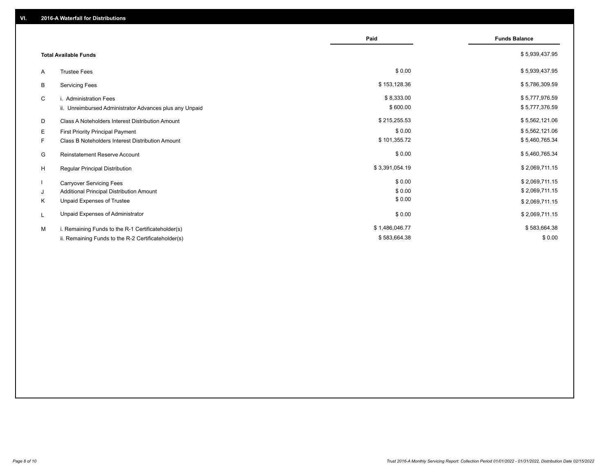|                                                         | Paid           | <b>Funds Balance</b> |
|---------------------------------------------------------|----------------|----------------------|
| <b>Total Available Funds</b>                            |                | \$5,939,437.95       |
| <b>Trustee Fees</b><br>A                                | \$0.00         | \$5,939,437.95       |
| <b>Servicing Fees</b><br>В                              | \$153,128.36   | \$5,786,309.59       |
| C<br>i. Administration Fees                             | \$8,333.00     | \$5,777,976.59       |
| ii. Unreimbursed Administrator Advances plus any Unpaid | \$600.00       | \$5,777,376.59       |
| Class A Noteholders Interest Distribution Amount<br>D   | \$215,255.53   | \$5,562,121.06       |
| Е<br>First Priority Principal Payment                   | \$0.00         | \$5,562,121.06       |
| Class B Noteholders Interest Distribution Amount<br>F.  | \$101,355.72   | \$5,460,765.34       |
| <b>Reinstatement Reserve Account</b><br>G               | \$0.00         | \$5,460,765.34       |
| H<br>Regular Principal Distribution                     | \$3,391,054.19 | \$2,069,711.15       |
| <b>Carryover Servicing Fees</b>                         | \$0.00         | \$2,069,711.15       |
| Additional Principal Distribution Amount<br>J           | \$0.00         | \$2,069,711.15       |
| Unpaid Expenses of Trustee<br>Κ                         | \$0.00         | \$2,069,711.15       |
| Unpaid Expenses of Administrator<br>L                   | \$0.00         | \$2,069,711.15       |
| i. Remaining Funds to the R-1 Certificateholder(s)<br>м | \$1,486,046.77 | \$583,664.38         |
| ii. Remaining Funds to the R-2 Certificateholder(s)     | \$583,664.38   | \$0.00               |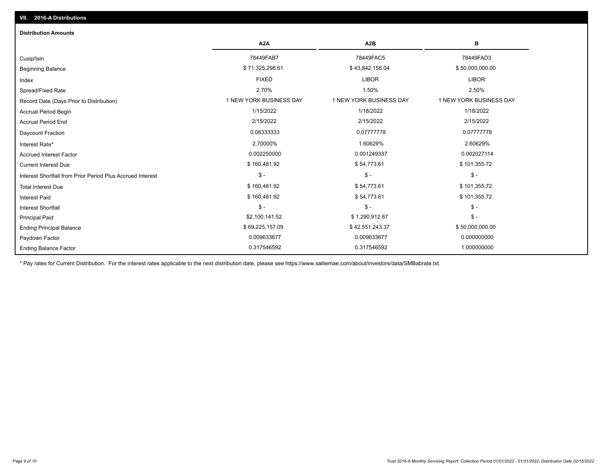| <b>Distribution Amounts</b>                                |                         |                         |                         |
|------------------------------------------------------------|-------------------------|-------------------------|-------------------------|
|                                                            | A <sub>2</sub> A        | A <sub>2</sub> B        | в                       |
| Cusip/Isin                                                 | 78449FAB7               | 78449FAC5               | 78449FAD3               |
| <b>Beginning Balance</b>                                   | \$71,325,298.61         | \$43,842,156.04         | \$50,000,000.00         |
| Index                                                      | <b>FIXED</b>            | <b>LIBOR</b>            | <b>LIBOR</b>            |
| Spread/Fixed Rate                                          | 2.70%                   | 1.50%                   | 2.50%                   |
| Record Date (Days Prior to Distribution)                   | 1 NEW YORK BUSINESS DAY | 1 NEW YORK BUSINESS DAY | 1 NEW YORK BUSINESS DAY |
| <b>Accrual Period Begin</b>                                | 1/15/2022               | 1/18/2022               | 1/18/2022               |
| <b>Accrual Period End</b>                                  | 2/15/2022               | 2/15/2022               | 2/15/2022               |
| Daycount Fraction                                          | 0.08333333              | 0.07777778              | 0.07777778              |
| Interest Rate*                                             | 2.70000%                | 1.60629%                | 2.60629%                |
| <b>Accrued Interest Factor</b>                             | 0.002250000             | 0.001249337             | 0.002027114             |
| <b>Current Interest Due</b>                                | \$160,481.92            | \$54,773.61             | \$101,355.72            |
| Interest Shortfall from Prior Period Plus Accrued Interest | $\mathsf{\$}$ -         | $\mathcal{S}$ -         | $$ -$                   |
| <b>Total Interest Due</b>                                  | \$160,481.92            | \$54,773.61             | \$101,355.72            |
| <b>Interest Paid</b>                                       | \$160,481.92            | \$54,773.61             | \$101,355.72            |
| Interest Shortfall                                         | $\mathsf{\$}$ -         | $\mathsf{\$}$ -         | $$ -$                   |
| <b>Principal Paid</b>                                      | \$2,100,141.52          | \$1,290,912.67          | $$ -$                   |
| <b>Ending Principal Balance</b>                            | \$69,225,157.09         | \$42,551,243.37         | \$50,000,000.00         |
| Paydown Factor                                             | 0.009633677             | 0.009633677             | 0.000000000             |
| <b>Ending Balance Factor</b>                               | 0.317546592             | 0.317546592             | 1.000000000             |

\* Pay rates for Current Distribution. For the interest rates applicable to the next distribution date, please see https://www.salliemae.com/about/investors/data/SMBabrate.txt.

**VII. 2016-A Distributions**